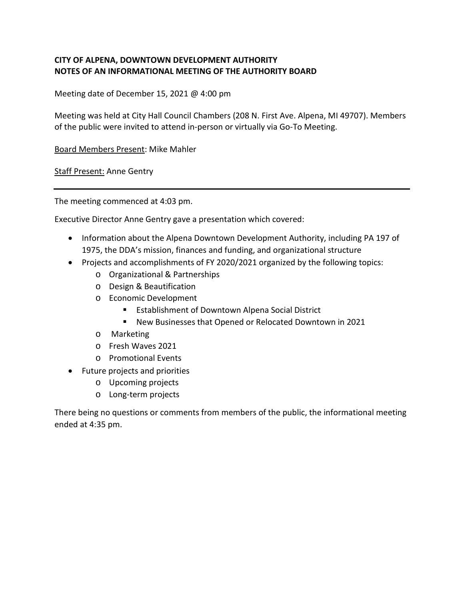## **CITY OF ALPENA, DOWNTOWN DEVELOPMENT AUTHORITY NOTES OF AN INFORMATIONAL MEETING OF THE AUTHORITY BOARD**

Meeting date of December 15, 2021 @ 4:00 pm

Meeting was held at City Hall Council Chambers (208 N. First Ave. Alpena, MI 49707). Members of the public were invited to attend in-person or virtually via Go-To Meeting.

Board Members Present: Mike Mahler

**Staff Present: Anne Gentry** 

The meeting commenced at 4:03 pm.

Executive Director Anne Gentry gave a presentation which covered:

- Information about the Alpena Downtown Development Authority, including PA 197 of 1975, the DDA's mission, finances and funding, and organizational structure
- Projects and accomplishments of FY 2020/2021 organized by the following topics:
	- o Organizational & Partnerships
	- o Design & Beautification
	- o Economic Development
		- **Establishment of Downtown Alpena Social District**
		- New Businesses that Opened or Relocated Downtown in 2021
	- o Marketing
	- o Fresh Waves 2021
	- o Promotional Events
- Future projects and priorities
	- o Upcoming projects
	- o Long-term projects

There being no questions or comments from members of the public, the informational meeting ended at 4:35 pm.